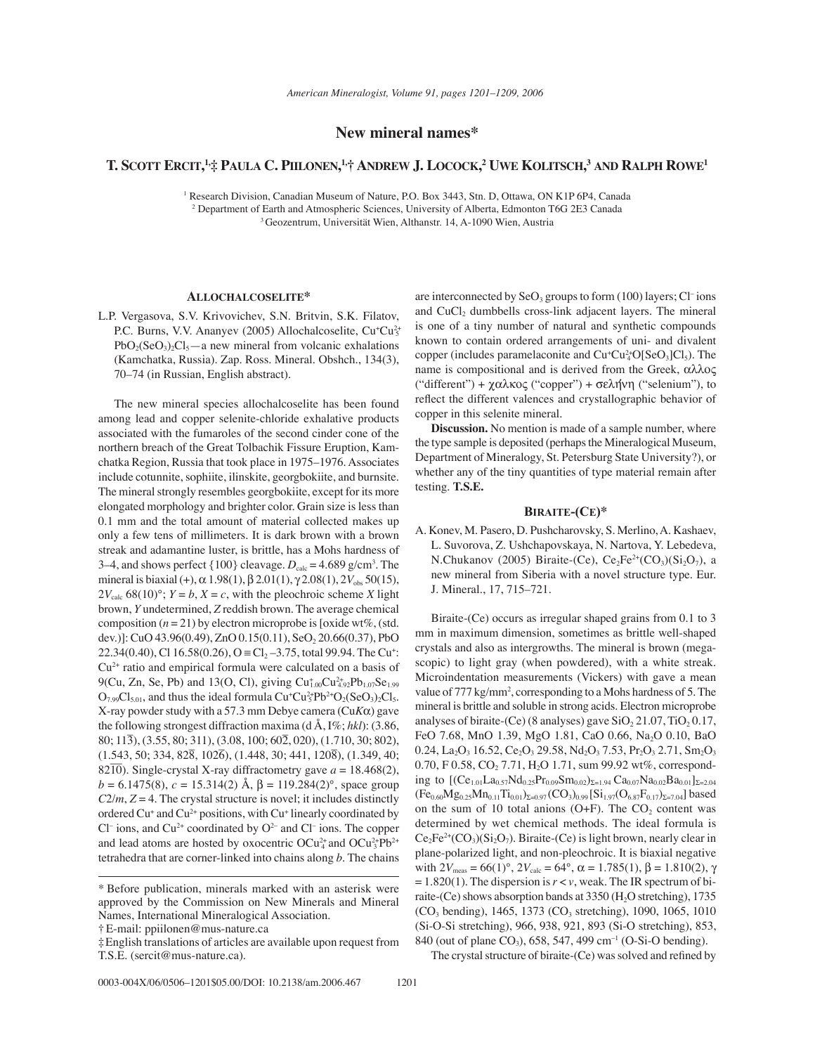## **New mineral names\***

# **T. SCOTT ERCIT, 1,‡ PAULA C. PIILONEN, 1,† ANDREW J. LOCOCK, 2 UWE KOLITSCH, <sup>3</sup> AND RALPH ROWE1**

<sup>1</sup> Research Division, Canadian Museum of Nature, P.O. Box 3443, Stn. D, Ottawa, ON K1P 6P4, Canada 2 Department of Earth and Atmospheric Sciences, University of Alberta, Edmonton T6G 2E3 Canada 3 Geozentrum, Universität Wien, Althanstr. 14, A-1090 Wien, Austria

### **ALLOCHALCOSELITE\***

L.P. Vergasova, S.V. Krivovichev, S.N. Britvin, S.K. Filatov, P.C. Burns, V.V. Ananyev (2005) Allochalcoselite, Cu<sup>+</sup>Cu<sup>2+</sup>  $PbO_2(SeO_3)_2Cl_5$ —a new mineral from volcanic exhalations (Kamchatka, Russia). Zap. Ross. Mineral. Obshch., 134(3), 70–74 (in Russian, English abstract).

The new mineral species allochalcoselite has been found among lead and copper selenite-chloride exhalative products associated with the fumaroles of the second cinder cone of the northern breach of the Great Tolbachik Fissure Eruption, Kamchatka Region, Russia that took place in 1975–1976. Associates include cotunnite, sophiite, ilinskite, georgbokiite, and burnsite. The mineral strongly resembles georgbokiite, except for its more elongated morphology and brighter color. Grain size is less than 0.1 mm and the total amount of material collected makes up only a few tens of millimeters. It is dark brown with a brown streak and adamantine luster, is brittle, has a Mohs hardness of 3–4, and shows perfect  $\{100\}$  cleavage.  $D_{\text{calc}} = 4.689 \text{ g/cm}^3$ . The mineral is biaxial (+),  $\alpha$  1.98(1),  $\beta$  2.01(1),  $\gamma$  2.08(1),  $2V_{obs}$  50(15),  $2V_{\text{calc}}$  68(10)°;  $Y = b$ ,  $X = c$ , with the pleochroic scheme *X* light brown, *Y* undetermined, *Z* reddish brown. The average chemical composition  $(n = 21)$  by electron microprobe is [oxide wt%, (std.) dev.)]: CuO 43.96(0.49), ZnO 0.15(0.11), SeO<sub>2</sub> 20.66(0.37), PbO 22.34(0.40), Cl 16.58(0.26), O  $\equiv$  Cl<sub>2</sub> $-3.75$ , total 99.94. The Cu<sup>+</sup>:  $Cu<sup>2+</sup>$  ratio and empirical formula were calculated on a basis of 9(Cu, Zn, Se, Pb) and 13(O, Cl), giving  $Cu_{1,00}^{+}Cu_{4,92}^{2}Pb_{1,07}Se_{1,99}$  $O_{7.99}Cl_{5.01}$ , and thus the ideal formula  $Cu^+Cu^{2+}_{5}Pb^{2+}O_2(SeO_3)_2Cl_5$ . X-ray powder study with a 57.3 mm Debye camera (Cu*K*α) gave the following strongest diffraction maxima (d Å, I%; *hkl*): (3.86, 80; 113– ), (3.55, 80; 311), (3.08, 100; 60– 2, 020), (1.710, 30; 802),  $(1.543, 50; 334, 82\overline{8}, 102\overline{6}), (1.448, 30; 441, 120\overline{8}), (1.349, 40;$  $82\overline{10}$ ). Single-crystal X-ray diffractometry gave  $a = 18.468(2)$ ,  $b = 6.1475(8)$ ,  $c = 15.314(2)$  Å,  $β = 119.284(2)°$ , space group  $C2/m$ ,  $Z = 4$ . The crystal structure is novel; it includes distinctly ordered Cu<sup>+</sup> and Cu<sup>2+</sup> positions, with Cu<sup>+</sup> linearly coordinated by  $Cl<sup>-</sup>$  ions, and  $Cu<sup>2+</sup>$  coordinated by  $O<sup>2-</sup>$  and  $Cl<sup>-</sup>$  ions. The copper and lead atoms are hosted by oxocentric  $OCu_4^2$  and  $OCu_3^2Pb^{2+}$ tetrahedra that are corner-linked into chains along *b*. The chains

are interconnected by  $\text{SeO}_3$  groups to form (100) layers; Cl<sup>-</sup>ions and  $CuCl<sub>2</sub>$  dumbbells cross-link adjacent layers. The mineral is one of a tiny number of natural and synthetic compounds known to contain ordered arrangements of uni- and divalent copper (includes paramelaconite and  $Cu<sup>+</sup>Cu<sup>2+</sup><sub>4</sub>O[SeO<sub>3</sub>]Cl<sub>5</sub>$ ). The name is compositional and is derived from the Greek, αλλος ("different") + χαλκος ("copper") + σελήνη ("selenium"), to reflect the different valences and crystallographic behavior of copper in this selenite mineral.

**Discussion.** No mention is made of a sample number, where the type sample is deposited (perhaps the Mineralogical Museum, Department of Mineralogy, St. Petersburg State University?), or whether any of the tiny quantities of type material remain after testing. **T.S.E.**

## **BIRAITE-(CE)\***

A. Konev, M. Pasero, D. Pushcharovsky, S. Merlino, A. Kashaev, L. Suvorova, Z. Ushchapovskaya, N. Nartova, Y. Lebedeva, N.Chukanov (2005) Biraite-(Ce),  $Ce<sub>2</sub>Fe<sup>2+</sup>(CO<sub>3</sub>)(Si<sub>2</sub>O<sub>7</sub>)$ , a new mineral from Siberia with a novel structure type. Eur. J. Mineral., 17, 715–721.

Biraite-(Ce) occurs as irregular shaped grains from 0.1 to 3 mm in maximum dimension, sometimes as brittle well-shaped crystals and also as intergrowths. The mineral is brown (megascopic) to light gray (when powdered), with a white streak. Microindentation measurements (Vickers) with gave a mean value of 777 kg/mm<sup>2</sup>, corresponding to a Mohs hardness of 5. The mineral is brittle and soluble in strong acids. Electron microprobe analyses of biraite-(Ce) (8 analyses) gave  $SiO<sub>2</sub> 21.07$ , TiO<sub>2</sub> 0.17, FeO 7.68, MnO 1.39, MgO 1.81, CaO 0.66, Na<sub>2</sub>O 0.10, BaO 0.24, La<sub>2</sub>O<sub>3</sub> 16.52, Ce<sub>2</sub>O<sub>3</sub> 29.58, Nd<sub>2</sub>O<sub>3</sub> 7.53, Pr<sub>2</sub>O<sub>3</sub> 2.71, Sm<sub>2</sub>O<sub>3</sub> 0.70, F 0.58,  $CO_2$  7.71, H<sub>2</sub>O 1.71, sum 99.92 wt%, corresponding to  $[(Ce_{1.01}La_{0.57}Nd_{0.25}Pr_{0.09}Sm_{0.02})_{\Sigma=1.94}Ca_{0.07}Na_{0.02}Ba_{0.01}]_{\Sigma=2.04}$  $(Fe_{0.60}Mg_{0.25}Mn_{0.11}Ti_{0.01})_{\Sigma=0.97} (CO_3)_{0.99} [Si_{1.97}(O_{6.87}F_{0.17})_{\Sigma=7.04}]$  based on the sum of 10 total anions  $(O+F)$ . The  $CO<sub>2</sub>$  content was determined by wet chemical methods. The ideal formula is  $Ce<sub>2</sub>Fe<sup>2+</sup>(CO<sub>3</sub>)(Si<sub>2</sub>O<sub>7</sub>)$ . Biraite-(Ce) is light brown, nearly clear in plane-polarized light, and non-pleochroic. It is biaxial negative with  $2V_{\text{meas}} = 66(1)^\circ$ ,  $2V_{\text{calc}} = 64^\circ$ ,  $\alpha = 1.785(1)$ ,  $\beta = 1.810(2)$ ,  $\gamma$  $= 1.820(1)$ . The dispersion is  $r \lt v$ , weak. The IR spectrum of biraite-(Ce) shows absorption bands at  $3350$  (H<sub>2</sub>O stretching), 1735 (CO<sub>3</sub> bending), 1465, 1373 (CO<sub>3</sub> stretching), 1090, 1065, 1010 (Si-O-Si stretching), 966, 938, 921, 893 (Si-O stretching), 853, 840 (out of plane CO<sub>3</sub>), 658, 547, 499 cm<sup>-1</sup> (O-Si-O bending).

The crystal structure of biraite-(Ce) was solved and refined by

<sup>\*</sup> Before publication, minerals marked with an asterisk were approved by the Commission on New Minerals and Mineral Names, International Mineralogical Association.

<sup>†</sup>E-mail: ppiilonen@mus-nature.ca

<sup>‡</sup>English translations of articles are available upon request from T.S.E. (sercit@mus-nature.ca).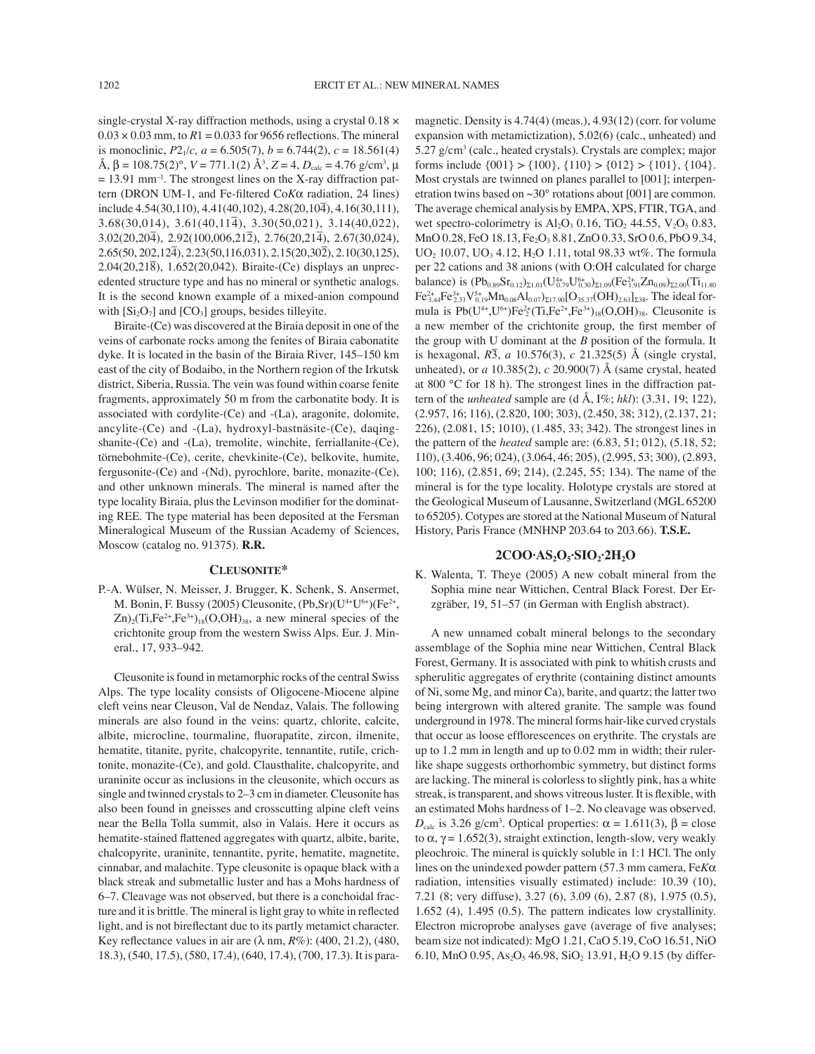single-crystal X-ray diffraction methods, using a crystal 0.18 ×  $0.03 \times 0.03$  mm, to  $R1 = 0.033$  for 9656 reflections. The mineral is monoclinic,  $P2_1/c$ ,  $a = 6.505(7)$ ,  $b = 6.744(2)$ ,  $c = 18.561(4)$  $\text{Å}, \beta = 108.75(2)^\circ, V = 771.1(2) \text{ Å}^3, Z = 4, D_{\text{calc}} = 4.76 \text{ g/cm}^3, \mu$  $= 13.91$  mm<sup>-1</sup>. The strongest lines on the X-ray diffraction pattern (DRON UM-1, and Fe-filtered Co*Kα* radiation, 24 lines) include  $4.54(30,110)$ ,  $4.41(40,102)$ ,  $4.28(20,10\overline{4})$ ,  $4.16(30,111)$ ,  $3.68(30,014)$ ,  $3.61(40,11\overline{4})$ ,  $3.30(50,021)$ ,  $3.14(40,022)$ ,  $3.02(20,20\overline{4})$ ,  $2.92(100,006,21\overline{2})$ ,  $2.76(20,21\overline{4})$ ,  $2.67(30,024)$ ,  $2.65(50, 202, 12\overline{4}), 2.23(50, 116, 031), 2.15(20, 30\overline{2}), 2.10(30, 125),$ 2.04(20,218– ), 1.652(20,042). Biraite-(Ce) displays an unprecedented structure type and has no mineral or synthetic analogs. It is the second known example of a mixed-anion compound with  $[Si_2O_7]$  and  $[CO_3]$  groups, besides tilleyite.

Biraite-(Ce) was discovered at the Biraia deposit in one of the veins of carbonate rocks among the fenites of Biraia cabonatite dyke. It is located in the basin of the Biraia River, 145–150 km east of the city of Bodaibo, in the Northern region of the Irkutsk district, Siberia, Russia. The vein was found within coarse fenite fragments, approximately 50 m from the carbonatite body. It is associated with cordylite-(Ce) and -(La), aragonite, dolomite, ancylite-(Ce) and -(La), hydroxyl-bastnäsite-(Ce), daqingshanite-(Ce) and -(La), tremolite, winchite, ferriallanite-(Ce), törnebohmite-(Ce), cerite, chevkinite-(Ce), belkovite, humite, fergusonite-(Ce) and -(Nd), pyrochlore, barite, monazite-(Ce), and other unknown minerals. The mineral is named after the type locality Biraia, plus the Levinson modifier for the dominating REE. The type material has been deposited at the Fersman Mineralogical Museum of the Russian Academy of Sciences, Moscow (catalog no. 91375). **R.R.**

### **CLEUSONITE\***

P.-A. Wülser, N. Meisser, J. Brugger, K. Schenk, S. Ansermet, M. Bonin, F. Bussy (2005) Cleusonite,  $(Pb, Sr)(U^{4+}U^{6+})$  (Fe<sup>2+</sup>,  $Zn$ <sub>2</sub>(Ti,Fe<sup>2+</sup>,Fe<sup>3+</sup>)<sub>18</sub>(O,OH)<sub>38</sub>, a new mineral species of the crichtonite group from the western Swiss Alps. Eur. J. Mineral., 17, 933–942.

Cleusonite is found in metamorphic rocks of the central Swiss Alps. The type locality consists of Oligocene-Miocene alpine cleft veins near Cleuson, Val de Nendaz, Valais. The following minerals are also found in the veins: quartz, chlorite, calcite, albite, microcline, tourmaline, fluorapatite, zircon, ilmenite, hematite, titanite, pyrite, chalcopyrite, tennantite, rutile, crichtonite, monazite-(Ce), and gold. Clausthalite, chalcopyrite, and uraninite occur as inclusions in the cleusonite, which occurs as single and twinned crystals to 2–3 cm in diameter. Cleusonite has also been found in gneisses and crosscutting alpine cleft veins near the Bella Tolla summit, also in Valais. Here it occurs as hematite-stained flattened aggregates with quartz, albite, barite, chalcopyrite, uraninite, tennantite, pyrite, hematite, magnetite, cinnabar, and malachite. Type cleusonite is opaque black with a black streak and submetallic luster and has a Mohs hardness of 6–7. Cleavage was not observed, but there is a conchoidal fracture and it is brittle. The mineral is light gray to white in reflected light, and is not bireflectant due to its partly metamict character. Key reflectance values in air are  $(\lambda \text{ nm}, R\%)$ : (400, 21.2), (480, 18.3), (540, 17.5), (580, 17.4), (640, 17.4), (700, 17.3). It is para-

magnetic. Density is 4.74(4) (meas.), 4.93(12) (corr. for volume expansion with metamictization), 5.02(6) (calc., unheated) and 5.27 g/cm3 (calc., heated crystals). Crystals are complex; major forms include  $\{001\} > \{100\}$ ,  $\{110\} > \{012\} > \{101\}$ ,  $\{104\}$ . Most crystals are twinned on planes parallel to [001]; interpenetration twins based on ~30° rotations about [001] are common. The average chemical analysis by EMPA, XPS, FTIR, TGA, and wet spectro-colorimetry is  $Al_2O_3$  0.16, TiO<sub>2</sub> 44.55, V<sub>2</sub>O<sub>5</sub> 0.83, MnO 0.28, FeO 18.13, Fe<sub>2</sub>O<sub>3</sub> 8.81, ZnO 0.33, SrO 0.6, PbO 9.34, UO<sub>2</sub> 10.07, UO<sub>3</sub> 4.12, H<sub>2</sub>O 1.11, total 98.33 wt%. The formula per 22 cations and 38 anions (with O:OH calculated for charge balance) is  $(Pb_{0.89}Sr_{0.12})_{\Sigma1.01}(U_{0.79}^{4+}U_{0.30}^{6+})_{\Sigma1.09}(Fe_{1.91}^{2+}Zn_{0.09})_{\Sigma2.00}(Ti_{11.80}$  $\rm Fe^{2+}_{3.44}Fe^{3+}_{2.33}V^{5+}_{0.19}Mn_{0.08}Al_{0.07})_{\Sigma 17.90}[O_{35.37}(OH)_{2.63}]_{\Sigma 38}$ . The ideal formula is  $Pb(U^{4+}, U^{6+})Fe^{2+}_2(Ti, Fe^{2+}, Fe^{3+})_{18}(O, OH)_{38}$ . Cleusonite is a new member of the crichtonite group, the first member of the group with U dominant at the *B* position of the formula. It is hexagonal,  $R\overline{3}$ , *a* 10.576(3), *c* 21.325(5) Å (single crystal, unheated), or *a* 10.385(2), *c* 20.900(7) Å (same crystal, heated at 800 °C for 18 h). The strongest lines in the diffraction pattern of the *unheated* sample are (d Å, I%; *hkl*): (3.31, 19; 122), (2.957, 16; 116), (2.820, 100; 303), (2.450, 38; 312), (2.137, 21; 226), (2.081, 15; 1010), (1.485, 33; 342). The strongest lines in the pattern of the *heated* sample are: (6.83, 51; 012), (5.18, 52; 110), (3.406, 96; 024), (3.064, 46; 205), (2.995, 53; 300), (2.893, 100; 116), (2.851, 69; 214), (2.245, 55; 134). The name of the mineral is for the type locality. Holotype crystals are stored at the Geological Museum of Lausanne, Switzerland (MGL 65200 to 65205). Cotypes are stored at the National Museum of Natural History, Paris France (MNHNP 203.64 to 203.66). **T.S.E.**

## **2COO·AS2O5·SIO2·2H2O**

K. Walenta, T. Theye (2005) A new cobalt mineral from the Sophia mine near Wittichen, Central Black Forest. Der Erzgräber, 19, 51–57 (in German with English abstract).

A new unnamed cobalt mineral belongs to the secondary assemblage of the Sophia mine near Wittichen, Central Black Forest, Germany. It is associated with pink to whitish crusts and spherulitic aggregates of erythrite (containing distinct amounts of Ni, some Mg, and minor Ca), barite, and quartz; the latter two being intergrown with altered granite. The sample was found underground in 1978. The mineral forms hair-like curved crystals that occur as loose efflorescences on erythrite. The crystals are up to 1.2 mm in length and up to 0.02 mm in width; their rulerlike shape suggests orthorhombic symmetry, but distinct forms are lacking. The mineral is colorless to slightly pink, has a white streak, is transparent, and shows vitreous luster. It is flexible, with an estimated Mohs hardness of 1–2. No cleavage was observed.  $D_{\text{calc}}$  is 3.26 g/cm<sup>3</sup>. Optical properties:  $\alpha = 1.611(3)$ ,  $\beta = \text{close}$ to  $\alpha$ ,  $\gamma$  = 1.652(3), straight extinction, length-slow, very weakly pleochroic. The mineral is quickly soluble in 1:1 HCl. The only lines on the unindexed powder pattern (57.3 mm camera, Fe*K*α radiation, intensities visually estimated) include: 10.39 (10), 7.21 (8; very diffuse), 3.27 (6), 3.09 (6), 2.87 (8), 1.975 (0.5), 1.652 (4), 1.495 (0.5). The pattern indicates low crystallinity. Electron microprobe analyses gave (average of five analyses; beam size not indicated): MgO 1.21, CaO 5.19, CoO 16.51, NiO 6.10, MnO 0.95, As<sub>2</sub>O<sub>5</sub> 46.98, SiO<sub>2</sub> 13.91, H<sub>2</sub>O 9.15 (by differ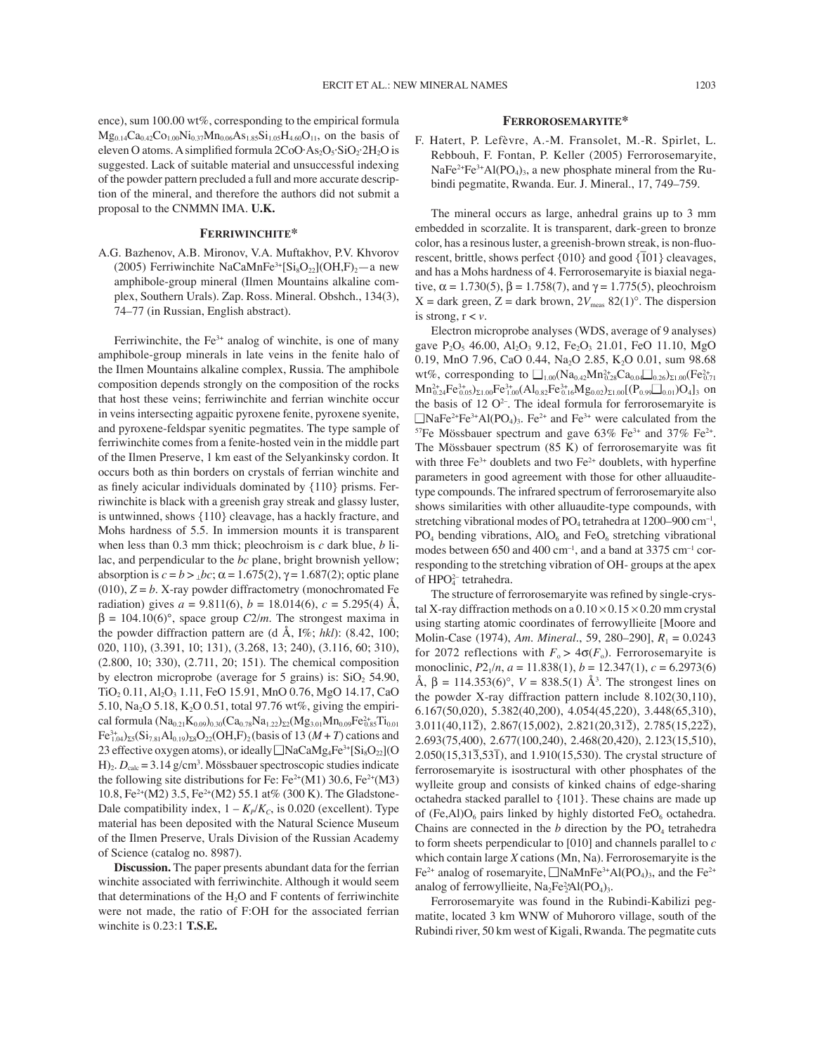ence), sum 100.00 wt%, corresponding to the empirical formula  $Mg_{0.14}Ca_{0.42}Co_{1.00}Ni_{0.37}Mn_{0.06}As_{1.85}Si_{1.05}H_{4.60}O_{11}$ , on the basis of eleven O atoms. A simplified formula  $2CoO·As<sub>2</sub>O<sub>5</sub>·SiO<sub>2</sub>·2H<sub>2</sub>O$  is suggested. Lack of suitable material and unsuccessful indexing of the powder pattern precluded a full and more accurate description of the mineral, and therefore the authors did not submit a proposal to the CNMMN IMA. **U.K.**

### **FERRIWINCHITE\***

A.G. Bazhenov, A.B. Mironov, V.A. Muftakhov, P.V. Khvorov (2005) Ferriwinchite NaCaMnFe<sup>3+</sup>[Si<sub>8</sub>O<sub>22</sub>](OH,F)<sub>2</sub>-a new amphibole-group mineral (Ilmen Mountains alkaline complex, Southern Urals). Zap. Ross. Mineral. Obshch., 134(3), 74–77 (in Russian, English abstract).

Ferriwinchite, the  $Fe<sup>3+</sup>$  analog of winchite, is one of many amphibole-group minerals in late veins in the fenite halo of the Ilmen Mountains alkaline complex, Russia. The amphibole composition depends strongly on the composition of the rocks that host these veins; ferriwinchite and ferrian winchite occur in veins intersecting agpaitic pyroxene fenite, pyroxene syenite, and pyroxene-feldspar syenitic pegmatites. The type sample of ferriwinchite comes from a fenite-hosted vein in the middle part of the Ilmen Preserve, 1 km east of the Selyankinsky cordon. It occurs both as thin borders on crystals of ferrian winchite and as finely acicular individuals dominated by  ${110}$  prisms. Ferriwinchite is black with a greenish gray streak and glassy luster, is untwinned, shows {110} cleavage, has a hackly fracture, and Mohs hardness of 5.5. In immersion mounts it is transparent when less than 0.3 mm thick; pleochroism is *c* dark blue, *b* lilac, and perpendicular to the *bc* plane, bright brownish yellow; absorption is  $c = b > \sqrt{bc}$ ;  $\alpha = 1.675(2)$ ,  $\gamma = 1.687(2)$ ; optic plane  $(010)$ ,  $Z = b$ . X-ray powder diffractometry (monochromated Fe radiation) gives  $a = 9.811(6)$ ,  $b = 18.014(6)$ ,  $c = 5.295(4)$  Å,  $\beta = 104.10(6)^\circ$ , space group *C2/m*. The strongest maxima in the powder diffraction pattern are (d Å, I%; *hkl*): (8.42, 100; 020, 110), (3.391, 10; 131), (3.268, 13; 240), (3.116, 60; 310), (2.800, 10; 330), (2.711, 20; 151). The chemical composition by electron microprobe (average for 5 grains) is:  $SiO<sub>2</sub> 54.90$ , TiO<sub>2</sub> 0.11, Al<sub>2</sub>O<sub>3</sub> 1.11, FeO 15.91, MnO 0.76, MgO 14.17, CaO 5.10, Na<sub>2</sub>O 5.18, K<sub>2</sub>O 0.51, total 97.76 wt%, giving the empirical formula  $(Na_{0.21}K_{0.09})_{0.30}(Ca_{0.78}Na_{1.22})_{\Sigma2}(Mg_{3.01}Mn_{0.09}Fe_{0.85}^{2+}Ti_{0.01}$  $Fe_{1.04}^{3+}$ <sub>25</sub>(Si<sub>7.81</sub>Al<sub>0.19</sub>)<sub>28</sub>O<sub>22</sub>(OH,F)<sub>2</sub>(basis of 13 (*M* + *T*) cations and 23 effective oxygen atoms), or ideally  $\Box$ NaCaMg<sub>4</sub>Fe<sup>3+</sup>[Si<sub>8</sub>O<sub>22</sub>](O  $H$ <sub>2</sub>.  $D_{\text{calc}} = 3.14$  g/cm<sup>3</sup>. Mössbauer spectroscopic studies indicate the following site distributions for Fe:  $Fe^{2+}(M1)$  30.6,  $Fe^{2+}(M3)$ 10.8, Fe<sup>2+</sup>(M2) 3.5, Fe<sup>2+</sup>(M2) 55.1 at% (300 K). The Gladstone-Dale compatibility index,  $1 - K_P/K_C$ , is 0.020 (excellent). Type material has been deposited with the Natural Science Museum of the Ilmen Preserve, Urals Division of the Russian Academy of Science (catalog no. 8987).

**Discussion.** The paper presents abundant data for the ferrian winchite associated with ferriwinchite. Although it would seem that determinations of the  $H<sub>2</sub>O$  and F contents of ferriwinchite were not made, the ratio of F:OH for the associated ferrian winchite is 0.23:1 **T.S.E.**

#### **FERROROSEMARYITE\***

F. Hatert, P. Lefèvre, A.-M. Fransolet, M.-R. Spirlet, L. Rebbouh, F. Fontan, P. Keller (2005) Ferrorosemaryite,  $NaFe<sup>2+</sup>Fe<sup>3+</sup>Al(PO<sub>4</sub>)<sub>3</sub>$ , a new phosphate mineral from the Rubindi pegmatite, Rwanda. Eur. J. Mineral., 17, 749–759.

The mineral occurs as large, anhedral grains up to 3 mm embedded in scorzalite. It is transparent, dark-green to bronze color, has a resinous luster, a greenish-brown streak, is non-fluorescent, his a resinods raster, a greenish strown stream, is non-rate rescent, brittle, shows perfect  $\{010\}$  and good  $\{\overline{101}\}$  cleavages, and has a Mohs hardness of 4. Ferrorosemaryite is biaxial negative,  $\alpha = 1.730(5)$ ,  $\beta = 1.758(7)$ , and  $\gamma = 1.775(5)$ , pleochroism  $X =$  dark green,  $Z =$  dark brown,  $2V_{\text{meas}}$  82(1)<sup>o</sup>. The dispersion is strong,  $r < v$ .

Electron microprobe analyses (WDS, average of 9 analyses) gave  $P_2O_5$  46.00, Al<sub>2</sub>O<sub>3</sub> 9.12, Fe<sub>2</sub>O<sub>3</sub> 21.01, FeO 11.10, MgO 0.19, MnO 7.96, CaO 0.44, Na<sub>2</sub>O 2.85, K<sub>2</sub>O 0.01, sum 98.68 wt%, corresponding to  $\square_{1.00} (Na_{0.42} Mn_{0.28}^{2+} Ca_{0.04} \square_{0.26})_{\Sigma1.00} (Fe_{0.71}^{2+}$  $Mn_{0.24}^{2+}Fe_{0.05}^{3+}F_{{21.00}}Fe_{1.00}^{3+}(Al_{0.82}Fe_{0.16}^{3+}Mg_{0.02})_{\Sigma1.00}[(P_{0.99}\Box_{0.01})O_4]_3$  on the basis of 12 O<sup>2</sup>-. The ideal formula for ferrorosemaryite is  $\Box$ NaFe<sup>2+</sup>Fe<sup>3+</sup>Al(PO<sub>4</sub>)<sub>3</sub>. Fe<sup>2+</sup> and Fe<sup>3+</sup> were calculated from the <sup>57</sup>Fe Mössbauer spectrum and gave  $63\%$  Fe<sup>3+</sup> and 37% Fe<sup>2+</sup>. The Mössbauer spectrum  $(85 K)$  of ferrorosemaryite was fit with three  $Fe^{3+}$  doublets and two  $Fe^{2+}$  doublets, with hyperfine parameters in good agreement with those for other alluauditetype compounds. The infrared spectrum of ferrorosemaryite also shows similarities with other alluaudite-type compounds, with stretching vibrational modes of  $PO_4$  tetrahedra at 1200–900 cm<sup>-1</sup>,  $PO_4$  bending vibrations,  $AIO_6$  and  $FeO_6$  stretching vibrational modes between 650 and 400  $cm^{-1}$ , and a band at 3375  $cm^{-1}$  corresponding to the stretching vibration of OH- groups at the apex of  $HPO<sub>4</sub><sup>2</sup>$  tetrahedra.

The structure of ferrorosemaryite was refined by single-crystal X-ray diffraction methods on a  $0.10 \times 0.15 \times 0.20$  mm crystal using starting atomic coordinates of ferrowyllieite [Moore and Molin-Case (1974), *Am. Mineral.*, 59, 280–290],  $R_1 = 0.0243$ for 2072 reflections with  $F_0 > 4\sigma(F_0)$ . Ferrorosemaryite is monoclinic,  $P2_1/n$ ,  $a = 11.838(1)$ ,  $b = 12.347(1)$ ,  $c = 6.2973(6)$  $\hat{A}$ ,  $\beta = 114.353(6)$ °,  $V = 838.5(1)$   $\hat{A}$ <sup>3</sup>. The strongest lines on the powder X-ray diffraction pattern include 8.102(30,110), 6.167(50,020), 5.382(40,200), 4.054(45,220), 3.448(65,310),  $3.011(40,11\overline{2})$ ,  $2.867(15,002)$ ,  $2.821(20,31\overline{2})$ ,  $2.785(15,22\overline{2})$ , 2.693(75,400), 2.677(100,240), 2.468(20,420), 2.123(15,510),  $2.050(15,31\overline{3},53\overline{1})$ , and  $1.910(15,530)$ . The crystal structure of ferrorosemaryite is isostructural with other phosphates of the wylleite group and consists of kinked chains of edge-sharing octahedra stacked parallel to {101}. These chains are made up of (Fe,Al) $O_6$  pairs linked by highly distorted Fe $O_6$  octahedra. Chains are connected in the  $b$  direction by the  $PO<sub>4</sub>$  tetrahedra to form sheets perpendicular to [010] and channels parallel to *c* which contain large *X* cations (Mn, Na). Ferrorosemaryite is the Fe<sup>2+</sup> analog of rosemaryite,  $\Box$ NaMnFe<sup>3+</sup>Al(PO<sub>4</sub>)<sub>3</sub>, and the Fe<sup>2+</sup> analog of ferrowyllieite,  $Na<sub>2</sub>Fe<sub>2</sub><sup>2</sup>Al(PO<sub>4</sub>)<sub>3</sub>$ .

Ferrorosemaryite was found in the Rubindi-Kabilizi pegmatite, located 3 km WNW of Muhororo village, south of the Rubindi river, 50 km west of Kigali, Rwanda. The pegmatite cuts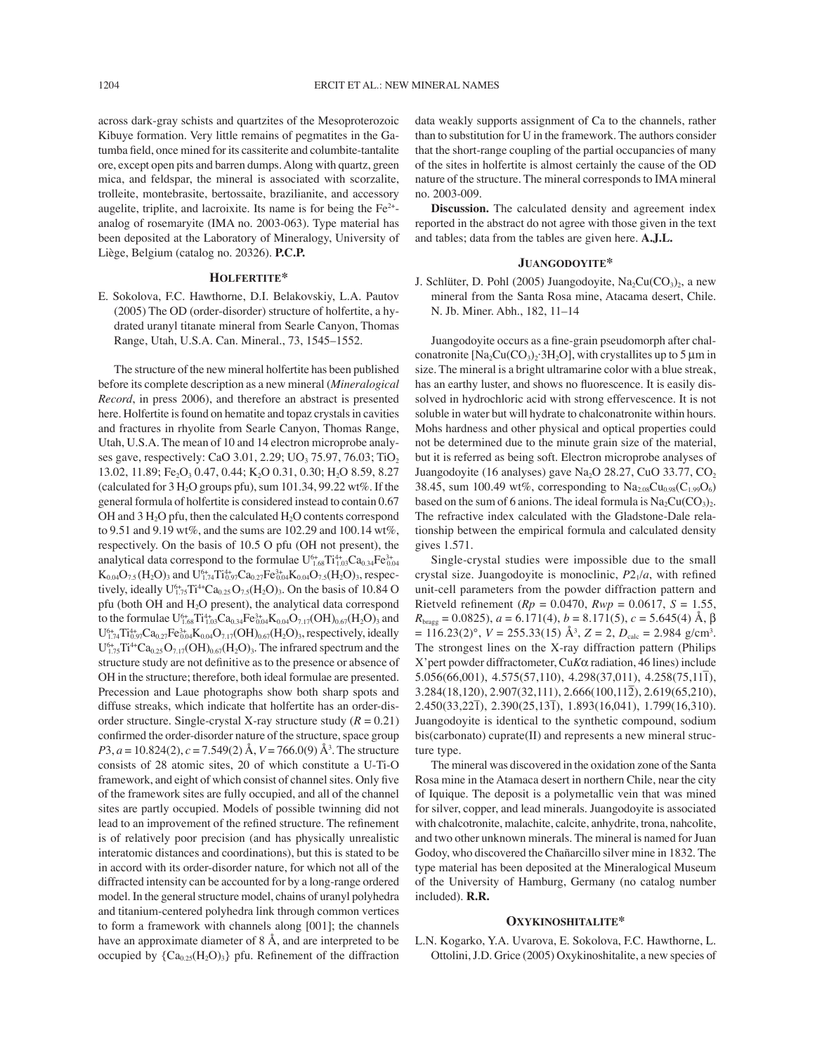across dark-gray schists and quartzites of the Mesoproterozoic Kibuye formation. Very little remains of pegmatites in the Gatumba field, once mined for its cassiterite and columbite-tantalite ore, except open pits and barren dumps. Along with quartz, green mica, and feldspar, the mineral is associated with scorzalite, trolleite, montebrasite, bertossaite, brazilianite, and accessory augelite, triplite, and lacroixite. Its name is for being the Fe2+ analog of rosemaryite (IMA no. 2003-063). Type material has been deposited at the Laboratory of Mineralogy, University of Liège, Belgium (catalog no. 20326). **P.C.P.**

### **HOLFERTITE\***

E. Sokolova, F.C. Hawthorne, D.I. Belakovskiy, L.A. Pautov (2005) The OD (order-disorder) structure of holfertite, a hydrated uranyl titanate mineral from Searle Canyon, Thomas Range, Utah, U.S.A. Can. Mineral., 73, 1545–1552.

The structure of the new mineral holfertite has been published before its complete description as a new mineral (*Mineralogical Record*, in press 2006), and therefore an abstract is presented here. Holfertite is found on hematite and topaz crystals in cavities and fractures in rhyolite from Searle Canyon, Thomas Range, Utah, U.S.A. The mean of 10 and 14 electron microprobe analyses gave, respectively: CaO 3.01, 2.29;  $UO_3$  75.97, 76.03; TiO<sub>2</sub> 13.02, 11.89; Fe<sub>2</sub>O<sub>3</sub> 0.47, 0.44; K<sub>2</sub>O 0.31, 0.30; H<sub>2</sub>O 8.59, 8.27 (calculated for  $3 H<sub>2</sub>O$  groups pfu), sum 101.34, 99.22 wt%. If the general formula of holfertite is considered instead to contain 0.67 OH and  $3 H<sub>2</sub>O$  pfu, then the calculated  $H<sub>2</sub>O$  contents correspond to 9.51 and 9.19 wt%, and the sums are 102.29 and 100.14 wt%, respectively. On the basis of 10.5 O pfu (OH not present), the analytical data correspond to the formulae  $U_{1.68}^{6+} Ti_{1.03}^{4+} Ca_{0.34}Fe_{0.04}^{3+}$  $K_{0.04}O_{7.5}(H_2O)_3$  and  $U_{1.74}^{6+}Ti_{0.97}^{4+}Ca_{0.27}Fe_{0.04}^{3+}K_{0.04}O_{7.5}(H_2O)_3$ , respectively, ideally  $U_{1.75}^{6+}Ti^{4+}Ca_{0.25}O_{7.5}(H_2O)_3$ . On the basis of 10.84 O pfu (both OH and H2O present), the analytical data correspond to the formulae  $\rm U^{6+}_{1.68}Ti^{4+}_{1.03}Ca_{0.34}Fe^{3+}_{0.04}K_{0.04}O_{7.17}(OH)_{0.67}(H_2O)_{3}$  and  $U_{1.74}^{6+}Ti_{0.97}^{4+}Ca_{0.27}Fe_{0.04}^{3+}K_{0.04}O_{7.17}(OH)_{0.67}(H_2O)_3$ , respectively, ideally  $U_{1.75}^{6+}Ti^{4+}Ca_{0.25}O_{7.17}(OH)_{0.67}(H_2O)$ <sub>3</sub>. The infrared spectrum and the structure study are not definitive as to the presence or absence of OH in the structure; therefore, both ideal formulae are presented. Precession and Laue photographs show both sharp spots and diffuse streaks, which indicate that holfertite has an order-disorder structure. Single-crystal X-ray structure study  $(R = 0.21)$ confirmed the order-disorder nature of the structure, space group *P*3, *a* = 10.824(2), *c* = 7.549(2) Å, *V* = 766.0(9) Å<sup>3</sup>. The structure consists of 28 atomic sites, 20 of which constitute a U-Ti-O framework, and eight of which consist of channel sites. Only five of the framework sites are fully occupied, and all of the channel sites are partly occupied. Models of possible twinning did not lead to an improvement of the refined structure. The refinement is of relatively poor precision (and has physically unrealistic interatomic distances and coordinations), but this is stated to be in accord with its order-disorder nature, for which not all of the diffracted intensity can be accounted for by a long-range ordered model. In the general structure model, chains of uranyl polyhedra and titanium-centered polyhedra link through common vertices to form a framework with channels along [001]; the channels have an approximate diameter of 8 Å, and are interpreted to be occupied by  ${C_{a_0,25}(H, O)_3}$  pfu. Refinement of the diffraction

data weakly supports assignment of Ca to the channels, rather than to substitution for U in the framework. The authors consider that the short-range coupling of the partial occupancies of many of the sites in holfertite is almost certainly the cause of the OD nature of the structure. The mineral corresponds to IMA mineral no. 2003-009.

**Discussion.** The calculated density and agreement index reported in the abstract do not agree with those given in the text and tables; data from the tables are given here. **A.J.L.**

## **JUANGODOYITE\***

J. Schlüter, D. Pohl (2005) Juangodoyite,  $Na_2Cu(CO_3)_2$ , a new mineral from the Santa Rosa mine, Atacama desert, Chile. N. Jb. Miner. Abh., 182, 11–14

Juangodoyite occurs as a fine-grain pseudomorph after chalconatronite  $[Na_2Cu(CO_3)_2·3H_2O]$ , with crystallites up to 5 µm in size. The mineral is a bright ultramarine color with a blue streak, has an earthy luster, and shows no fluorescence. It is easily dissolved in hydrochloric acid with strong effervescence. It is not soluble in water but will hydrate to chalconatronite within hours. Mohs hardness and other physical and optical properties could not be determined due to the minute grain size of the material, but it is referred as being soft. Electron microprobe analyses of Juangodoyite (16 analyses) gave Na<sub>2</sub>O 28.27, CuO 33.77, CO<sub>2</sub> 38.45, sum 100.49 wt%, corresponding to  $Na_{2.08}Cu_{0.98}(C_{1.99}O_6)$ based on the sum of 6 anions. The ideal formula is  $Na_2Cu(CO_3)$ . The refractive index calculated with the Gladstone-Dale relationship between the empirical formula and calculated density gives 1.571.

Single-crystal studies were impossible due to the small crystal size. Juangodoyite is monoclinic,  $P2<sub>1</sub>/a$ , with refined unit-cell parameters from the powder diffraction pattern and Rietveld refinement ( $Rp = 0.0470$ ,  $Rwp = 0.0617$ ,  $S = 1.55$ , *R*<sub>bragg</sub> = 0.0825), *a* = 6.171(4), *b* = 8.171(5), *c* = 5.645(4) Å, β  $= 116.23(2)$ °,  $V = 255.33(15)$  Å<sup>3</sup>,  $Z = 2$ ,  $D_{\text{calc}} = 2.984$  g/cm<sup>3</sup>. The strongest lines on the X-ray diffraction pattern (Philips X'pert powder diffractometer, Cu*K*α radiation, 46 lines) include 5.056(66,001), 4.575(57,110), 4.298(37,011), 4.258(75,111– ),  $3.284(18,120), 2.907(32,111), 2.666(100,11\overline{2}), 2.619(65,210),$  $2.450(33,22\bar{1}), 2.390(25,13\bar{1}), 1.893(16,041), 1.799(16,310).$ Juangodoyite is identical to the synthetic compound, sodium bis(carbonato) cuprate(II) and represents a new mineral structure type.

The mineral was discovered in the oxidation zone of the Santa Rosa mine in the Atamaca desert in northern Chile, near the city of Iquique. The deposit is a polymetallic vein that was mined for silver, copper, and lead minerals. Juangodoyite is associated with chalcotronite, malachite, calcite, anhydrite, trona, nahcolite, and two other unknown minerals. The mineral is named for Juan Godoy, who discovered the Chañarcillo silver mine in 1832. The type material has been deposited at the Mineralogical Museum of the University of Hamburg, Germany (no catalog number included). **R.R.**

### **OXYKINOSHITALITE\***

L.N. Kogarko, Y.A. Uvarova, E. Sokolova, F.C. Hawthorne, L. Ottolini, J.D. Grice (2005) Oxykinoshitalite, a new species of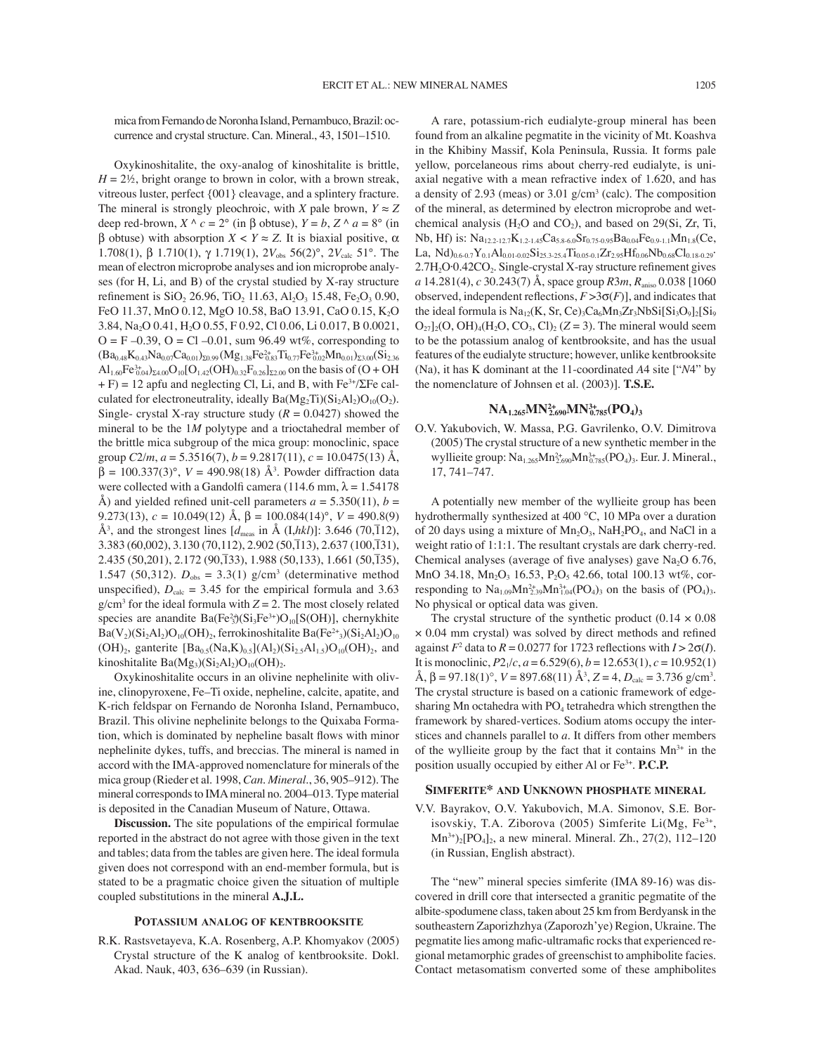mica from Fernando de Noronha Island, Pernambuco, Brazil: occurrence and crystal structure. Can. Mineral., 43, 1501–1510.

Oxykinoshitalite, the oxy-analog of kinoshitalite is brittle,  $H = 2\frac{1}{2}$ , bright orange to brown in color, with a brown streak, vitreous luster, perfect {001} cleavage, and a splintery fracture. The mineral is strongly pleochroic, with *X* pale brown,  $Y \approx Z$ deep red-brown,  $X^{\wedge} c = 2^{\circ}$  (in  $\beta$  obtuse),  $Y = b$ ,  $Z^{\wedge} a = 8^{\circ}$  (in β obtuse) with absorption  $X < Y \approx Z$ . It is biaxial positive, α 1.708(1), β 1.710(1), γ 1.719(1), 2*V*<sub>obs</sub> 56(2)°, 2*V*<sub>calc</sub> 51°. The mean of electron microprobe analyses and ion microprobe analyses (for H, Li, and B) of the crystal studied by X-ray structure refinement is  $SiO_2$  26.96, TiO<sub>2</sub> 11.63, Al<sub>2</sub>O<sub>3</sub> 15.48, Fe<sub>2</sub>O<sub>3</sub> 0.90, FeO 11.37, MnO 0.12, MgO 10.58, BaO 13.91, CaO 0.15, K<sub>2</sub>O 3.84, Na2O 0.41, H2O 0.55, F 0.92, Cl 0.06, Li 0.017, B 0.0021,  $O = F - 0.39$ ,  $O = Cl - 0.01$ , sum 96.49 wt%, corresponding to  $(Ba_{0.48}K_{0.43}Na_{0.07}Ca_{0.01})_{\Sigma 0.99} (Mg_{1.38}Fe_{0.83}^{2+}Ti_{0.77}Fe_{0.02}^{3+}Mn_{0.01})_{\Sigma 3.00} (Si_{2.36}$  $\text{Al}_{1.60}\text{Fe}_{0.04}^{3+}\text{O}_{24.00}\text{O}_{10}[\text{O}_{1.42}(\text{OH})_{0.32}\text{F}_{0.26}]_{\Sigma2.00}$  on the basis of (O + OH  $+ F$ ) = 12 apfu and neglecting Cl, Li, and B, with Fe<sup>3+</sup>/ΣFe calculated for electroneutrality, ideally  $Ba(Mg_2Ti)(Si_2Al_2)O_{10}(O_2)$ . Single- crystal X-ray structure study  $(R = 0.0427)$  showed the mineral to be the 1*M* polytype and a trioctahedral member of the brittle mica subgroup of the mica group: monoclinic, space group  $C2/m$ ,  $a = 5.3516(7)$ ,  $b = 9.2817(11)$ ,  $c = 10.0475(13)$  Å,  $\beta = 100.337(3)$ °,  $V = 490.98(18)$  Å<sup>3</sup>. Powder diffraction data were collected with a Gandolfi camera (114.6 mm,  $\lambda = 1.54178$ ) Å) and yielded refined unit-cell parameters  $a = 5.350(11)$ ,  $b =$ 9.273(13),  $c = 10.049(12)$  Å,  $\beta = 100.084(14)^\circ$ ,  $V = 490.8(9)$  $\AA^3$ , and the strongest lines  $[d_{\text{meas}}]$  in  $\AA$  (I,*hkl*)]: 3.646 (70,112), 3.383 (60,002), 3.130 (70,112), 2.902 (50,113), 2.637 (100,131),  $2.435 (50,201), 2.172 (90,133), 1.988 (50,133), 1.661 (50,135),$ 1.547 (50,312).  $D_{obs} = 3.3(1)$  g/cm<sup>3</sup> (determinative method unspecified),  $D_{\text{calc}} = 3.45$  for the empirical formula and 3.63  $g/cm<sup>3</sup>$  for the ideal formula with  $Z = 2$ . The most closely related species are anandite  $Ba(Fe^{2n/3})(Si_3Fe^{3n})O_{10}[S(OH)]$ , chernykhite  $Ba(V_2)(Si_2Al_2)O_{10}(OH)_2$ , ferrokinoshitalite Ba(Fe<sup>2+</sup><sub>3</sub>)(Si<sub>2</sub>Al<sub>2</sub>)O<sub>10</sub>  $(OH)_2$ , ganterite  $[Ba_{0.5}(Na,K)_{0.5}](Al_2)(Si_{2.5}Al_{1.5})O_{10}(OH)_2$ , and kinoshitalite Ba $(Mg_3)(Si_2Al_2)O_{10}(OH)_2.$ 

Oxykinoshitalite occurs in an olivine nephelinite with olivine, clinopyroxene, Fe–Ti oxide, nepheline, calcite, apatite, and K-rich feldspar on Fernando de Noronha Island, Pernambuco, Brazil. This olivine nephelinite belongs to the Quixaba Formation, which is dominated by nepheline basalt flows with minor nephelinite dykes, tuffs, and breccias. The mineral is named in accord with the IMA-approved nomenclature for minerals of the mica group (Rieder et al. 1998, *Can. Mineral*., 36, 905–912). The mineral corresponds to IMA mineral no. 2004–013. Type material is deposited in the Canadian Museum of Nature, Ottawa.

**Discussion.** The site populations of the empirical formulae reported in the abstract do not agree with those given in the text and tables; data from the tables are given here. The ideal formula given does not correspond with an end-member formula, but is stated to be a pragmatic choice given the situation of multiple coupled substitutions in the mineral **A.J.L.**

#### **POTASSIUM ANALOG OF KENTBROOKSITE**

R.K. Rastsvetayeva, K.A. Rosenberg, A.P. Khomyakov (2005) Crystal structure of the K analog of kentbrooksite. Dokl. Akad. Nauk, 403, 636–639 (in Russian).

A rare, potassium-rich eudialyte-group mineral has been found from an alkaline pegmatite in the vicinity of Mt. Koashva in the Khibiny Massif, Kola Peninsula, Russia. It forms pale yellow, porcelaneous rims about cherry-red eudialyte, is uniaxial negative with a mean refractive index of 1.620, and has a density of 2.93 (meas) or  $3.01$  g/cm<sup>3</sup> (calc). The composition of the mineral, as determined by electron microprobe and wetchemical analysis ( $H_2O$  and  $CO_2$ ), and based on 29(Si, Zr, Ti, Nb, Hf) is:  $Na_{12,2-12,7}K_{1,2-1,45}Ca_{5,8-6,0}Sr_{0,75-0,95}Ba_{0,04}Fe_{0,9-1,1}Mn_{1,8}(Ce,$ La,  $Nd$ <sub>0.6-0.7</sub>Y<sub>0.1</sub>Al<sub>0.01-0.02</sub>Si<sub>25.3-25.4</sub>Ti<sub>0.05-0.1</sub>Zr<sub>2.95</sub>Hf<sub>0.06</sub>Nb<sub>0.68</sub>Cl<sub>0.18-0.29</sub>·  $2.7H<sub>2</sub>O·0.42CO<sub>2</sub>$ . Single-crystal X-ray structure refinement gives *a* 14.281(4), *c* 30.243(7) Å, space group *R*3*m*, *R*aniso 0.038 [1060 observed, independent reflections,  $F > 3\sigma(F)$ ], and indicates that the ideal formula is  $Na_{12}(K, Sr, Ce)_{3}Ca_{6}Mn_{3}Zr_{3}NbSi[Si_{3}O_{9}]_{2}[Si_{9}$  $O_{27}]_2(O, OH)_4(H_2O, CO_3, Cl)_2 (Z=3)$ . The mineral would seem to be the potassium analog of kentbrooksite, and has the usual features of the eudialyte structure; however, unlike kentbrooksite (Na), it has K dominant at the 11-coordinated *A*4 site ["*N*4" by the nomenclature of Johnsen et al. (2003)]. **T.S.E.**

# **NA1.265MN2+ 2.690MN3+ 0.785(PO4)3**

O.V. Yakubovich, W. Massa, P.G. Gavrilenko, O.V. Dimitrova (2005) The crystal structure of a new synthetic member in the wyllieite group:  $Na<sub>1.265</sub>Mn<sub>2.690</sub>Mn<sub>0.785</sub><sup>3+</sup>(PO<sub>4</sub>)<sub>3</sub>$ . Eur. J. Mineral., 17, 741–747.

A potentially new member of the wyllieite group has been hydrothermally synthesized at 400 °C, 10 MPa over a duration of 20 days using a mixture of  $Mn_2O_3$ , NaH<sub>2</sub>PO<sub>4</sub>, and NaCl in a weight ratio of 1:1:1. The resultant crystals are dark cherry-red. Chemical analyses (average of five analyses) gave  $Na<sub>2</sub>O$  6.76, MnO 34.18, Mn<sub>2</sub>O<sub>3</sub> 16.53, P<sub>2</sub>O<sub>5</sub> 42.66, total 100.13 wt%, corresponding to  $\text{Na}_{1.09}\text{Mn}_{2.39}^{2+} \text{Mn}_{1.04}^{3+}(\text{PO}_4)_3$  on the basis of  $(\text{PO}_4)_3$ . No physical or optical data was given.

The crystal structure of the synthetic product  $(0.14 \times 0.08)$  $\times$  0.04 mm crystal) was solved by direct methods and refined against  $F^2$  data to  $R = 0.0277$  for 1723 reflections with  $I > 2\sigma(I)$ . It is monoclinic,  $P2_1/c$ ,  $a = 6.529(6)$ ,  $b = 12.653(1)$ ,  $c = 10.952(1)$  $\text{Å}, \beta = 97.18(1)^\circ, V = 897.68(11) \text{ Å}^3, Z = 4, D_{\text{calc}} = 3.736 \text{ g/cm}^3.$ The crystal structure is based on a cationic framework of edgesharing Mn octahedra with  $PO<sub>4</sub>$  tetrahedra which strengthen the framework by shared-vertices. Sodium atoms occupy the interstices and channels parallel to *a*. It differs from other members of the wyllieite group by the fact that it contains  $Mn^{3+}$  in the position usually occupied by either Al or Fe3+. **P.C.P.**

## **SIMFERITE\* AND UNKNOWN PHOSPHATE MINERAL**

V.V. Bayrakov, O.V. Yakubovich, M.A. Simonov, S.E. Borisovskiy, T.A. Ziborova (2005) Simferite Li(Mg, Fe<sup>3+</sup>,  $\text{Mn}^{3+}$ <sub>2</sub>[PO<sub>4</sub>]<sub>2</sub>, a new mineral. Mineral. Zh., 27(2), 112–120 (in Russian, English abstract).

The "new" mineral species simferite (IMA 89-16) was discovered in drill core that intersected a granitic pegmatite of the albite-spodumene class, taken about 25 km from Berdyansk in the southeastern Zaporizhzhya (Zaporozh'ye) Region, Ukraine. The pegmatite lies among mafic-ultramafic rocks that experienced regional metamorphic grades of greenschist to amphibolite facies. Contact metasomatism converted some of these amphibolites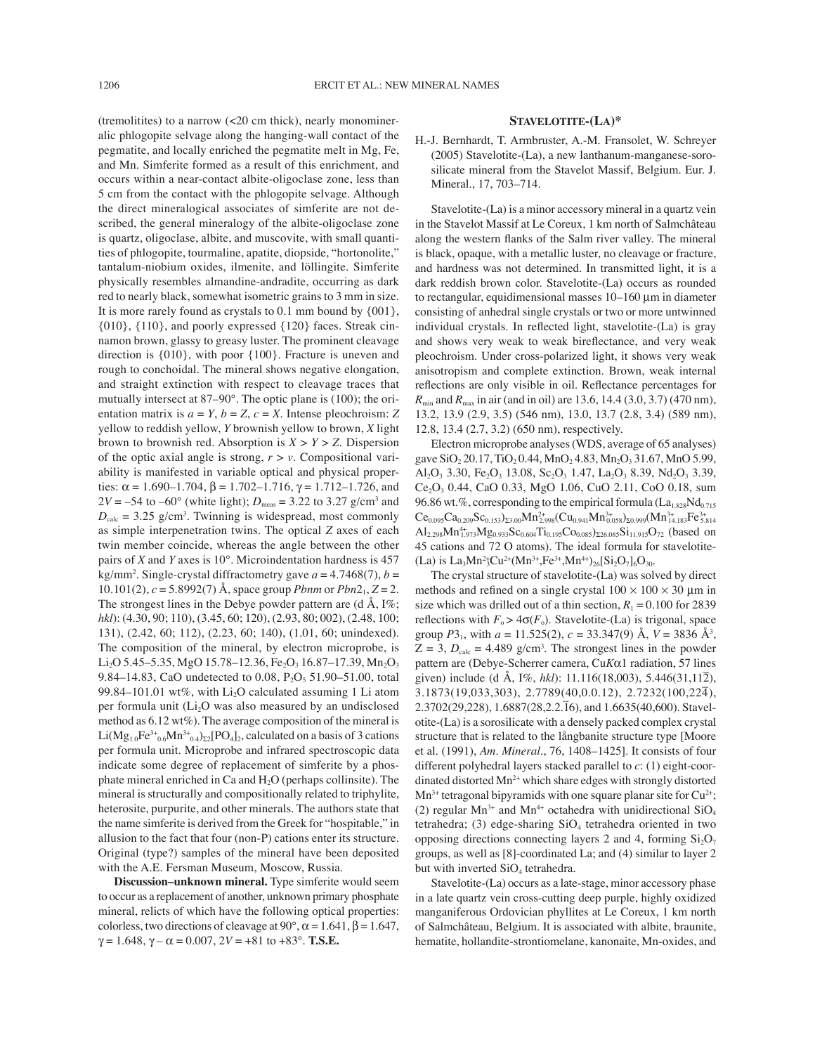(tremolitites) to a narrow (<20 cm thick), nearly monomineralic phlogopite selvage along the hanging-wall contact of the pegmatite, and locally enriched the pegmatite melt in Mg, Fe, and Mn. Simferite formed as a result of this enrichment, and occurs within a near-contact albite-oligoclase zone, less than 5 cm from the contact with the phlogopite selvage. Although the direct mineralogical associates of simferite are not described, the general mineralogy of the albite-oligoclase zone is quartz, oligoclase, albite, and muscovite, with small quantities of phlogopite, tourmaline, apatite, diopside, "hortonolite," tantalum-niobium oxides, ilmenite, and löllingite. Simferite physically resembles almandine-andradite, occurring as dark red to nearly black, somewhat isometric grains to 3 mm in size. It is more rarely found as crystals to 0.1 mm bound by {001}, {010}, {110}, and poorly expressed {120} faces. Streak cinnamon brown, glassy to greasy luster. The prominent cleavage direction is {010}, with poor {100}. Fracture is uneven and rough to conchoidal. The mineral shows negative elongation, and straight extinction with respect to cleavage traces that mutually intersect at 87–90°. The optic plane is (100); the orientation matrix is  $a = Y$ ,  $b = Z$ ,  $c = X$ . Intense pleochroism: Z yellow to reddish yellow, *Y* brownish yellow to brown, *X* light brown to brownish red. Absorption is  $X > Y > Z$ . Dispersion of the optic axial angle is strong,  $r > v$ . Compositional variability is manifested in variable optical and physical properties:  $\alpha = 1.690 - 1.704$ ,  $\beta = 1.702 - 1.716$ ,  $\gamma = 1.712 - 1.726$ , and  $2V = -54$  to  $-60^{\circ}$  (white light);  $D_{\text{meas}} = 3.22$  to 3.27 g/cm<sup>3</sup> and  $D_{\text{calc}} = 3.25$  g/cm<sup>3</sup>. Twinning is widespread, most commonly as simple interpenetration twins. The optical *Z* axes of each twin member coincide, whereas the angle between the other pairs of *X* and *Y* axes is 10°. Microindentation hardness is 457  $kg/mm^2$ . Single-crystal diffractometry gave  $a = 4.7468(7)$ ,  $b =$ 10.101(2),  $c = 5.8992(7)$  Å, space group *Pbnm* or  $Pbn2_1$ ,  $Z = 2$ . The strongest lines in the Debye powder pattern are  $(d \text{ Å}, I\%);$ *hkl*): (4.30, 90; 110), (3.45, 60; 120), (2.93, 80; 002), (2.48, 100; 131), (2.42, 60; 112), (2.23, 60; 140), (1.01, 60; unindexed). The composition of the mineral, by electron microprobe, is Li<sub>2</sub>O 5.45–5.35, MgO 15.78–12.36, Fe<sub>2</sub>O<sub>3</sub> 16.87–17.39, Mn<sub>2</sub>O<sub>3</sub> 9.84–14.83, CaO undetected to 0.08,  $P_2O_5$  51.90–51.00, total 99.84–101.01 wt%, with  $Li<sub>2</sub>O$  calculated assuming 1 Li atom per formula unit  $(Li<sub>2</sub>O$  was also measured by an undisclosed method as 6.12 wt%). The average composition of the mineral is Li(Mg<sub>1.0</sub>Fe<sup>3+</sup><sub>0.6</sub>Mn<sup>3+</sup><sub>0.4</sub>)<sub>Σ2</sub>[PO<sub>4</sub>]<sub>2</sub>, calculated on a basis of 3 cations per formula unit. Microprobe and infrared spectroscopic data indicate some degree of replacement of simferite by a phosphate mineral enriched in Ca and H<sub>2</sub>O (perhaps collinsite). The mineral is structurally and compositionally related to triphylite, heterosite, purpurite, and other minerals. The authors state that the name simferite is derived from the Greek for "hospitable," in allusion to the fact that four (non-P) cations enter its structure. Original (type?) samples of the mineral have been deposited with the A.E. Fersman Museum, Moscow, Russia.

**Discussion–unknown mineral.** Type simferite would seem to occur as a replacement of another, unknown primary phosphate mineral, relicts of which have the following optical properties: colorless, two directions of cleavage at 90°,  $\alpha$  = 1.641,  $\beta$  = 1.647,  $\gamma = 1.648$ ,  $\gamma - \alpha = 0.007$ ,  $2V = +81$  to  $+83^\circ$ . **T.S.E.** 

### **STAVELOTITE-(LA)\***

H.-J. Bernhardt, T. Armbruster, A.-M. Fransolet, W. Schreyer (2005) Stavelotite-(La), a new lanthanum-manganese-sorosilicate mineral from the Stavelot Massif, Belgium. Eur. J. Mineral., 17, 703–714.

Stavelotite-(La) is a minor accessory mineral in a quartz vein in the Stavelot Massif at Le Coreux, 1 km north of Salmchâteau along the western flanks of the Salm river valley. The mineral is black, opaque, with a metallic luster, no cleavage or fracture, and hardness was not determined. In transmitted light, it is a dark reddish brown color. Stavelotite-(La) occurs as rounded to rectangular, equidimensional masses 10–160 µm in diameter consisting of anhedral single crystals or two or more untwinned individual crystals. In reflected light, stavelotite- $(La)$  is gray and shows very weak to weak bireflectance, and very weak pleochroism. Under cross-polarized light, it shows very weak anisotropism and complete extinction. Brown, weak internal reflections are only visible in oil. Reflectance percentages for *R*<sub>min</sub> and *R*<sub>max</sub> in air (and in oil) are 13.6, 14.4 (3.0, 3.7) (470 nm), 13.2, 13.9 (2.9, 3.5) (546 nm), 13.0, 13.7 (2.8, 3.4) (589 nm), 12.8, 13.4 (2.7, 3.2) (650 nm), respectively.

Electron microprobe analyses (WDS, average of 65 analyses) gave  $SiO_2 20.17$ ,  $TiO_2 0.44$ ,  $MnO_2 4.83$ ,  $Mn_2O_3 31.67$ ,  $MnO 5.99$ , Al<sub>2</sub>O<sub>3</sub> 3.30, Fe<sub>2</sub>O<sub>3</sub> 13.08, Sc<sub>2</sub>O<sub>3</sub> 1.47, La<sub>2</sub>O<sub>3</sub> 8.39, Nd<sub>2</sub>O<sub>3</sub> 3.39, Ce<sub>2</sub>O<sub>3</sub> 0.44, CaO 0.33, MgO 1.06, CuO 2.11, CoO 0.18, sum 96.86 wt.%, corresponding to the empirical formula  $(La<sub>1.828</sub>Nd<sub>0.715</sub>)$  $\rm Ce_{0.095}Ca_{0.209}Sc_{0.153})_{\Sigma3.00}Mn_{2.998}^{2+}(Cu_{0.941}Mn_{0.058}^{3+})_{\Sigma0.999}(Mn_{14.183}^{3+}Fe_{5.814}^{3+})$  $\text{Al}_{2.298}\text{Mn}_{1.973}^{4+}\text{Mg}_{0.933}\text{Sc}_{0.604}\text{Ti}_{0.195}\text{Co}_{0.085}\text{)}_{\Sigma26.085}\text{Si}_{11.915}\text{O}_{72}$  (based on 45 cations and 72 O atoms). The ideal formula for stavelotite-  $(La)$  is  $La_3Mn^2 {}^{\circ}Cu^{2+}(Mn^{3+},Fe^{3+},Mn^{4+})_{26}[Si_2O_7]_6O_{30}.$ 

The crystal structure of stavelotite-(La) was solved by direct methods and refined on a single crystal  $100 \times 100 \times 30$  µm in size which was drilled out of a thin section,  $R_1 = 0.100$  for 2839 reflections with  $F_o > 4\sigma(F_o)$ . Stavelotite-(La) is trigonal, space group  $P3_1$ , with  $a = 11.525(2)$ ,  $c = 33.347(9)$  Å,  $V = 3836$  Å<sup>3</sup>,  $Z = 3$ ,  $D_{\text{calc}} = 4.489$  g/cm<sup>3</sup>. The strongest lines in the powder pattern are (Debye-Scherrer camera, Cu*K*α1 radiation, 57 lines given) include (d Å, I%, *hkl*): 11.116(18,003), 5.446(31,112), 3.1873(19,033,303), 2.7789(40,0.0.12), 2.7232(100,224– ), 2.3702(29,228), 1.6887(28,2.2.16), and 1.6635(40,600). Stavelotite-(La) is a sorosilicate with a densely packed complex crystal structure that is related to the långbanite structure type [Moore et al. (1991), *Am. Mineral.*, 76, 1408–1425]. It consists of four different polyhedral layers stacked parallel to *c*: (1) eight-coordinated distorted  $Mn^{2+}$  which share edges with strongly distorted  $Mn^{3+}$  tetragonal bipyramids with one square planar site for  $Cu^{2+}$ ; (2) regular  $Mn^{3+}$  and  $Mn^{4+}$  octahedra with unidirectional  $SiO<sub>4</sub>$ tetrahedra; (3) edge-sharing  $SiO<sub>4</sub>$  tetrahedra oriented in two opposing directions connecting layers 2 and 4, forming  $Si<sub>2</sub>O<sub>7</sub>$ groups, as well as [8]-coordinated La; and (4) similar to layer 2 but with inverted  $SiO<sub>4</sub>$  tetrahedra.

Stavelotite-(La) occurs as a late-stage, minor accessory phase in a late quartz vein cross-cutting deep purple, highly oxidized manganiferous Ordovician phyllites at Le Coreux, 1 km north of Salmchâteau, Belgium. It is associated with albite, braunite, hematite, hollandite-strontiomelane, kanonaite, Mn-oxides, and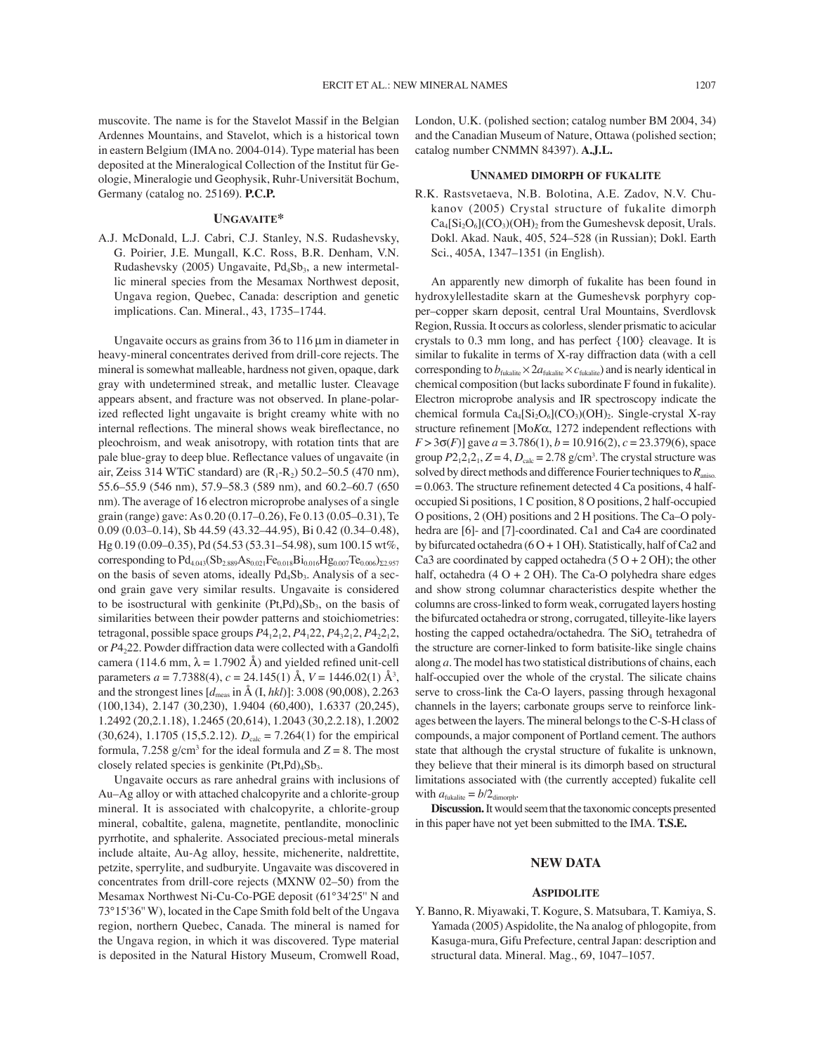muscovite. The name is for the Stavelot Massif in the Belgian Ardennes Mountains, and Stavelot, which is a historical town in eastern Belgium (IMA no. 2004-014). Type material has been deposited at the Mineralogical Collection of the Institut für Geologie, Mineralogie und Geophysik, Ruhr-Universität Bochum, Germany (catalog no. 25169). **P.C.P.**

## **UNGAVAITE\***

A.J. McDonald, L.J. Cabri, C.J. Stanley, N.S. Rudashevsky, G. Poirier, J.E. Mungall, K.C. Ross, B.R. Denham, V.N. Rudashevsky (2005) Ungavaite,  $Pd_4Sb_3$ , a new intermetallic mineral species from the Mesamax Northwest deposit, Ungava region, Quebec, Canada: description and genetic implications. Can. Mineral., 43, 1735–1744.

Ungavaite occurs as grains from 36 to 116  $\mu$ m in diameter in heavy-mineral concentrates derived from drill-core rejects. The mineral is somewhat malleable, hardness not given, opaque, dark gray with undetermined streak, and metallic luster. Cleavage appears absent, and fracture was not observed. In plane-polarized reflected light ungavaite is bright creamy white with no internal reflections. The mineral shows weak bireflectance, no pleochroism, and weak anisotropy, with rotation tints that are pale blue-gray to deep blue. Reflectance values of ungavaite (in air, Zeiss 314 WTiC standard) are  $(R_1-R_2)$  50.2–50.5 (470 nm), 55.6–55.9 (546 nm), 57.9–58.3 (589 nm), and 60.2–60.7 (650 nm). The average of 16 electron microprobe analyses of a single grain (range) gave: As 0.20 (0.17–0.26), Fe 0.13 (0.05–0.31), Te 0.09 (0.03–0.14), Sb 44.59 (43.32–44.95), Bi 0.42 (0.34–0.48), Hg 0.19 (0.09–0.35), Pd (54.53 (53.31–54.98), sum 100.15 wt%, corresponding to  $Pd_{4.043}(Sb_{2.889}As_{0.021}Fe_{0.018}Bi_{0.016}Hg_{0.007}Te_{0.006})_{\Sigma2.957}$ on the basis of seven atoms, ideally  $Pd_4Sb_3$ . Analysis of a second grain gave very similar results. Ungavaite is considered to be isostructural with genkinite  $(Pt, Pd)_{4}Sb_{3}$ , on the basis of similarities between their powder patterns and stoichiometries: tetragonal, possible space groups *P*41212, *P*4122, *P*43212, *P*42212, or *P*4222. Powder diffraction data were collected with a Gandolfi camera (114.6 mm,  $\lambda = 1.7902$  Å) and yielded refined unit-cell parameters *a* = 7.7388(4), *c* = 24.145(1) Å, *V* = 1446.02(1) Å3 , and the strongest lines  $[d_{\text{meas}}]$  in  $\AA$  (I, *hkl*)]: 3.008 (90,008), 2.263 (100,134), 2.147 (30,230), 1.9404 (60,400), 1.6337 (20,245), 1.2492 (20,2.1.18), 1.2465 (20,614), 1.2043 (30,2.2.18), 1.2002  $(30,624)$ , 1.1705  $(15,5.2.12)$ .  $D_{\text{calc}} = 7.264(1)$  for the empirical formula, 7.258  $g/cm<sup>3</sup>$  for the ideal formula and  $Z = 8$ . The most closely related species is genkinite  $(Pt, Pd)_4Sb_3$ .

Ungavaite occurs as rare anhedral grains with inclusions of Au–Ag alloy or with attached chalcopyrite and a chlorite-group mineral. It is associated with chalcopyrite, a chlorite-group mineral, cobaltite, galena, magnetite, pentlandite, monoclinic pyrrhotite, and sphalerite. Associated precious-metal minerals include altaite, Au-Ag alloy, hessite, michenerite, naldrettite, petzite, sperrylite, and sudburyite. Ungavaite was discovered in concentrates from drill-core rejects (MXNW 02–50) from the Mesamax Northwest Ni-Cu-Co-PGE deposit (61°34'25'' N and 73°15'36'' W), located in the Cape Smith fold belt of the Ungava region, northern Quebec, Canada. The mineral is named for the Ungava region, in which it was discovered. Type material is deposited in the Natural History Museum, Cromwell Road,

London, U.K. (polished section; catalog number BM 2004, 34) and the Canadian Museum of Nature, Ottawa (polished section; catalog number CNMMN 84397). **A.J.L.**

#### **UNNAMED DIMORPH OF FUKALITE**

R.K. Rastsvetaeva, N.B. Bolotina, A.E. Zadov, N.V. Chukanov (2005) Crystal structure of fukalite dimorph  $Ca_4[Si_2O_6]$ (CO<sub>3</sub>)(OH)<sub>2</sub> from the Gumeshevsk deposit, Urals. Dokl. Akad. Nauk, 405, 524–528 (in Russian); Dokl. Earth Sci., 405A, 1347–1351 (in English).

An apparently new dimorph of fukalite has been found in hydroxylellestadite skarn at the Gumeshevsk porphyry copper–copper skarn deposit, central Ural Mountains, Sverdlovsk Region, Russia. It occurs as colorless, slender prismatic to acicular crystals to 0.3 mm long, and has perfect {100} cleavage. It is similar to fukalite in terms of X-ray diffraction data (with a cell corresponding to  $b_{\text{fukalite}} \times 2a_{\text{fukalite}} \times c_{\text{fukalite}}$  and is nearly identical in chemical composition (but lacks subordinate F found in fukalite). Electron microprobe analysis and IR spectroscopy indicate the chemical formula  $Ca_4[Si_2O_6]$ (CO<sub>3</sub>)(OH)<sub>2</sub>. Single-crystal X-ray structure refinement [ $MoK\alpha$ , 1272 independent reflections with  $F > 3\sigma(F)$ ] gave  $a = 3.786(1)$ ,  $b = 10.916(2)$ ,  $c = 23.379(6)$ , space group  $P2_12_12_1$ ,  $Z = 4$ ,  $D_{\text{calc}} = 2.78$  g/cm<sup>3</sup>. The crystal structure was solved by direct methods and difference Fourier techniques to *R*aniso.  $= 0.063$ . The structure refinement detected 4 Ca positions, 4 halfoccupied Si positions, 1 C position, 8 O positions, 2 half-occupied O positions, 2 (OH) positions and 2 H positions. The Ca–O polyhedra are [6]- and [7]-coordinated. Ca1 and Ca4 are coordinated by bifurcated octahedra (6 O + 1 OH). Statistically, half of Ca2 and Ca3 are coordinated by capped octahedra  $(5 O + 2 OH)$ ; the other half, octahedra  $(4 O + 2 OH)$ . The Ca-O polyhedra share edges and show strong columnar characteristics despite whether the columns are cross-linked to form weak, corrugated layers hosting the bifurcated octahedra or strong, corrugated, tilleyite-like layers hosting the capped octahedra/octahedra. The SiO<sub>4</sub> tetrahedra of the structure are corner-linked to form batisite-like single chains along *a*. The model has two statistical distributions of chains, each half-occupied over the whole of the crystal. The silicate chains serve to cross-link the Ca-O layers, passing through hexagonal channels in the layers; carbonate groups serve to reinforce linkages between the layers. The mineral belongs to the C-S-H class of compounds, a major component of Portland cement. The authors state that although the crystal structure of fukalite is unknown, they believe that their mineral is its dimorph based on structural limitations associated with (the currently accepted) fukalite cell with  $a_{\text{fukalite}} = b/2_{\text{dimorph}}$ .

**Discussion.** It would seem that the taxonomic concepts presented in this paper have not yet been submitted to the IMA. **T.S.E.**

### **NEW DATA**

### **ASPIDOLITE**

Y. Banno, R. Miyawaki, T. Kogure, S. Matsubara, T. Kamiya, S. Yamada (2005) Aspidolite, the Na analog of phlogopite, from Kasuga-mura, Gifu Prefecture, central Japan: description and structural data. Mineral. Mag., 69, 1047–1057.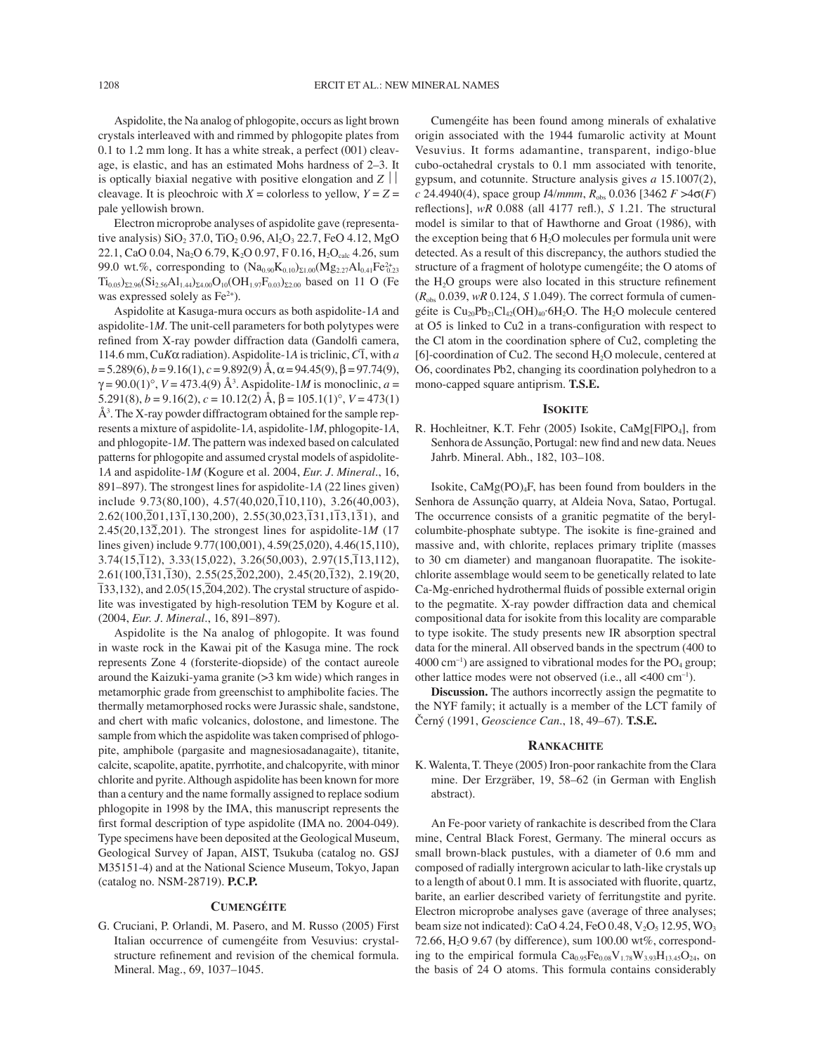Aspidolite, the Na analog of phlogopite, occurs as light brown crystals interleaved with and rimmed by phlogopite plates from 0.1 to 1.2 mm long. It has a white streak, a perfect (001) cleavage, is elastic, and has an estimated Mohs hardness of 2–3. It is optically biaxial negative with positive elongation and  $Z \mid \cdot$ cleavage. It is pleochroic with  $X =$  colorless to yellow,  $Y = Z =$ pale yellowish brown.

Electron microprobe analyses of aspidolite gave (representative analysis)  $SiO_2 37.0$ ,  $TiO_2 0.96$ ,  $Al_2O_3 22.7$ , FeO 4.12, MgO 22.1, CaO 0.04, Na<sub>2</sub>O 6.79, K<sub>2</sub>O 0.97, F 0.16, H<sub>2</sub>O<sub>calc</sub> 4.26, sum 99.0 wt.%, corresponding to  $(Na_{0.90}K_{0.10})_{\Sigma1.00}(Mg_{2.27}Al_{0.41}Fe_{0.23}^{2+})$  $Ti<sub>0.05</sub>$ )<sub>Σ2.96</sub>(Si<sub>2.56</sub>Al<sub>1.44</sub>)<sub>Σ4.00</sub>O<sub>10</sub>(OH<sub>1.97</sub>F<sub>0.03</sub>)<sub>Σ2.00</sub> based on 11 O (Fe was expressed solely as  $Fe<sup>2+</sup>$ ).

Aspidolite at Kasuga-mura occurs as both aspidolite-1*A* and aspidolite-1*M*. The unit-cell parameters for both polytypes were refined from X-ray powder diffraction data (Gandolfi camera, 114.6 mm, Cu*K*α radiation). Aspidolite-1*A* is triclinic, *C*1 – , with *a*  $= 5.289(6)$ ,  $b = 9.16(1)$ ,  $c = 9.892(9)$  Å,  $\alpha = 94.45(9)$ ,  $\beta = 97.74(9)$ ,  $\gamma = 90.0(1)$ °,  $V = 473.4(9)$  Å<sup>3</sup>. Aspidolite-1*M* is monoclinic, *a* = 5.291(8),  $b = 9.16(2)$ ,  $c = 10.12(2)$  Å,  $\beta = 105.1(1)$ °,  $V = 473(1)$ Å3 . The X-ray powder diffractogram obtained for the sample represents a mixture of aspidolite-1*A*, aspidolite-1*M*, phlogopite-1*A*, and phlogopite-1*M*. The pattern was indexed based on calculated patterns for phlogopite and assumed crystal models of aspidolite-1*A* and aspidolite-1*M* (Kogure et al. 2004, *Eur. J. Mineral.*, 16, 891–897). The strongest lines for aspidolite-1*A* (22 lines given) include 9.73(80,100), 4.57(40,020, $\overline{1}10,110$ ), 3.26(40,003),  $2.62(100,\overline{2}01,13\overline{1},130,200)$ ,  $2.55(30,023,\overline{1}31,1\overline{1}3,1\overline{3}1)$ , and 2.45(20,132– ,201). The strongest lines for aspidolite-1*M* (17 lines given) include 9.77(100,001), 4.59(25,020), 4.46(15,110),  $3.74(15,\overline{1}12), 3.33(15,022), 3.26(50,003), 2.97(15,\overline{1}13,112),$  $2.61(100,\overline{1}31,\overline{1}30), 2.55(25,\overline{2}02,200), 2.45(20,\overline{1}32), 2.19(20,$  $\overline{133,132}$ ), and  $2.05(15,\overline{2}04,202)$ . The crystal structure of aspidolite was investigated by high-resolution TEM by Kogure et al. (2004, *Eur. J. Mineral.*, 16, 891–897).

Aspidolite is the Na analog of phlogopite. It was found in waste rock in the Kawai pit of the Kasuga mine. The rock represents Zone 4 (forsterite-diopside) of the contact aureole around the Kaizuki-yama granite (>3 km wide) which ranges in metamorphic grade from greenschist to amphibolite facies. The thermally metamorphosed rocks were Jurassic shale, sandstone, and chert with mafic volcanics, dolostone, and limestone. The sample from which the aspidolite was taken comprised of phlogopite, amphibole (pargasite and magnesiosadanagaite), titanite, calcite, scapolite, apatite, pyrrhotite, and chalcopyrite, with minor chlorite and pyrite. Although aspidolite has been known for more than a century and the name formally assigned to replace sodium phlogopite in 1998 by the IMA, this manuscript represents the first formal description of type aspidolite (IMA no. 2004-049). Type specimens have been deposited at the Geological Museum, Geological Survey of Japan, AIST, Tsukuba (catalog no. GSJ M35151-4) and at the National Science Museum, Tokyo, Japan (catalog no. NSM-28719). **P.C.P.**

## **CUMENGÉITE**

G. Cruciani, P. Orlandi, M. Pasero, and M. Russo (2005) First Italian occurrence of cumengéite from Vesuvius: crystalstructure refinement and revision of the chemical formula. Mineral. Mag., 69, 1037–1045.

Cumengéite has been found among minerals of exhalative origin associated with the 1944 fumarolic activity at Mount Vesuvius. It forms adamantine, transparent, indigo-blue cubo-octahedral crystals to 0.1 mm associated with tenorite, gypsum, and cotunnite. Structure analysis gives *a* 15.1007(2),  $c$  24.4940(4), space group *I4/mmm*,  $R_{obs}$  0.036 [3462  $F > 4\sigma(F)$ reflections],  $wR$  0.088 (all 4177 refl.),  $S$  1.21. The structural model is similar to that of Hawthorne and Groat (1986), with the exception being that  $6 H<sub>2</sub>O$  molecules per formula unit were detected. As a result of this discrepancy, the authors studied the structure of a fragment of holotype cumengéite; the O atoms of the  $H<sub>2</sub>O$  groups were also located in this structure refinement (*R*obs 0.039, *wR* 0.124, *S* 1.049). The correct formula of cumengéite is  $Cu_{20}Pb_{21}Cl_{42}(OH)_{40}$  6H<sub>2</sub>O. The H<sub>2</sub>O molecule centered at O5 is linked to Cu2 in a trans-configuration with respect to the Cl atom in the coordination sphere of Cu2, completing the  $[6]$ -coordination of Cu2. The second  $H<sub>2</sub>O$  molecule, centered at O6, coordinates Pb2, changing its coordination polyhedron to a mono-capped square antiprism. **T.S.E.**

#### **ISOKITE**

R. Hochleitner, K.T. Fehr (2005) Isokite, CaMg[FlPO<sub>4</sub>], from Senhora de Assunção, Portugal: new find and new data. Neues Jahrb. Mineral. Abh., 182, 103–108.

Isokite,  $CaMg(PO)<sub>4</sub>F$ , has been found from boulders in the Senhora de Assunção quarry, at Aldeia Nova, Satao, Portugal. The occurrence consists of a granitic pegmatite of the berylcolumbite-phosphate subtype. The isokite is fine-grained and massive and, with chlorite, replaces primary triplite (masses to 30 cm diameter) and manganoan fluorapatite. The isokitechlorite assemblage would seem to be genetically related to late Ca-Mg-enriched hydrothermal fluids of possible external origin to the pegmatite. X-ray powder diffraction data and chemical compositional data for isokite from this locality are comparable to type isokite. The study presents new IR absorption spectral data for the mineral. All observed bands in the spectrum (400 to  $4000 \text{ cm}^{-1}$ ) are assigned to vibrational modes for the PO<sub>4</sub> group; other lattice modes were not observed (i.e., all <400 cm–1).

**Discussion.** The authors incorrectly assign the pegmatite to the NYF family; it actually is a member of the LCT family of Černý (1991, *Geoscience Can.*, 18, 49–67). **T.S.E.**

### **RANKACHITE**

K. Walenta, T. Theye (2005) Iron-poor rankachite from the Clara mine. Der Erzgräber, 19, 58–62 (in German with English abstract).

An Fe-poor variety of rankachite is described from the Clara mine, Central Black Forest, Germany. The mineral occurs as small brown-black pustules, with a diameter of 0.6 mm and composed of radially intergrown acicular to lath-like crystals up to a length of about 0.1 mm. It is associated with fluorite, quartz, barite, an earlier described variety of ferritungstite and pyrite. Electron microprobe analyses gave (average of three analyses; beam size not indicated): CaO 4.24, FeO 0.48,  $V_2O_5$  12.95, WO<sub>3</sub> 72.66,  $H<sub>2</sub>$ O 9.67 (by difference), sum 100.00 wt%, corresponding to the empirical formula  $Ca_{0.95}Fe_{0.08}V_{1.78}W_{3.93}H_{13.45}O_{24}$ , on the basis of 24 O atoms. This formula contains considerably